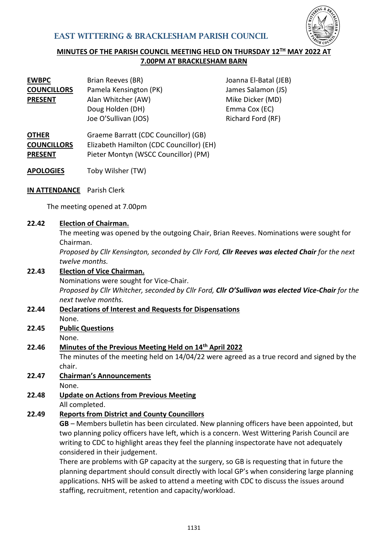

## **MINUTES OF THE PARISH COUNCIL MEETING HELD ON THURSDAY 12<sup>TH</sup> MAY 2022 7.00PM AT BRACKLESHAM BARN**

| <b>EWBPC</b>       | Brian Reeves (BR)      | Joanna El-Batal (JEB) |
|--------------------|------------------------|-----------------------|
| <b>COUNCILLORS</b> | Pamela Kensington (PK) | James Salamon (JS)    |
| <b>PRESENT</b>     | Alan Whitcher (AW)     | Mike Dicker (MD)      |
|                    | Doug Holden (DH)       | Emma Cox (EC)         |
|                    | Joe O'Sullivan (JOS)   | Richard Ford (RF)     |
|                    |                        |                       |

- **OTHER COUNCILLORS PRESENT** Graeme Barratt (CDC Councillor) (GB) Elizabeth Hamilton (CDC Councillor) (EH) Pieter Montyn (WSCC Councillor) (PM)
- **APOLOGIES** Toby Wilsher (TW)
- **IN ATTENDANCE** Parish Clerk

The meeting opened at 7.00pm

#### **22.42 Election of Chairman.**

The meeting was opened by the outgoing Chair, Brian Reeves. Nominations were sought for Chairman.

*Proposed by Cllr Kensington, seconded by Cllr Ford, Cllr Reeves was elected Chair for the next twelve months.*

#### **22.43 Election of Vice Chairman.**

Nominations were sought for Vice-Chair. *Proposed by Cllr Whitcher, seconded by Cllr Ford, Cllr O'Sullivan was elected Vice-Chair for the next twelve months.*

- **22.44 Declarations of Interest and Requests for Dispensations** None.
- **22.45 Public Questions** None.

#### **22.46 Minutes of the Previous Meeting Held on 14th April 2022**

The minutes of the meeting held on 14/04/22 were agreed as a true record and signed by the chair.

**22.47 Chairman's Announcements**

None.

**22.48 Update on Actions from Previous Meeting** All completed.

## **22.49 Reports from District and County Councillors**

**GB** – Members bulletin has been circulated. New planning officers have been appointed, but two planning policy officers have left, which is a concern. West Wittering Parish Council are writing to CDC to highlight areas they feel the planning inspectorate have not adequately considered in their judgement.

There are problems with GP capacity at the surgery, so GB is requesting that in future the planning department should consult directly with local GP's when considering large planning applications. NHS will be asked to attend a meeting with CDC to discuss the issues around staffing, recruitment, retention and capacity/workload.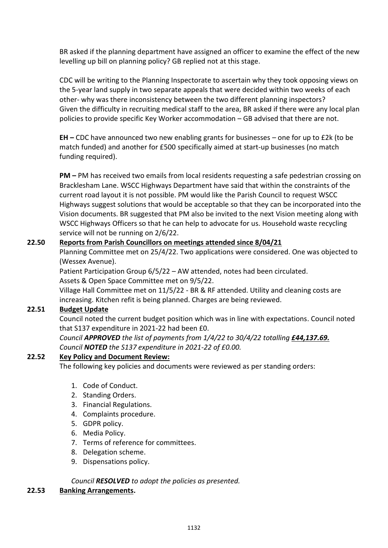BR asked if the planning department have assigned an officer to examine the effect of the new levelling up bill on planning policy? GB replied not at this stage.

CDC will be writing to the Planning Inspectorate to ascertain why they took opposing views on the 5-year land supply in two separate appeals that were decided within two weeks of each other- why was there inconsistency between the two different planning inspectors? Given the difficulty in recruiting medical staff to the area, BR asked if there were any local plan policies to provide specific Key Worker accommodation – GB advised that there are not.

**EH –** CDC have announced two new enabling grants for businesses – one for up to £2k (to be match funded) and another for £500 specifically aimed at start-up businesses (no match funding required).

**PM –** PM has received two emails from local residents requesting a safe pedestrian crossing on Bracklesham Lane. WSCC Highways Department have said that within the constraints of the current road layout it is not possible. PM would like the Parish Council to request WSCC Highways suggest solutions that would be acceptable so that they can be incorporated into the Vision documents. BR suggested that PM also be invited to the next Vision meeting along with WSCC Highways Officers so that he can help to advocate for us. Household waste recycling service will not be running on 2/6/22.

## **22.50 Reports from Parish Councillors on meetings attended since 8/04/21**

Planning Committee met on 25/4/22. Two applications were considered. One was objected to (Wessex Avenue).

Patient Participation Group 6/5/22 – AW attended, notes had been circulated. Assets & Open Space Committee met on 9/5/22.

Village Hall Committee met on 11/5/22 - BR & RF attended. Utility and cleaning costs are increasing. Kitchen refit is being planned. Charges are being reviewed.

## **22.51 Budget Update**

Council noted the current budget position which was in line with expectations. Council noted that S137 expenditure in 2021-22 had been £0.

*Council APPROVED the list of payments from 1/4/22 to 30/4/22 totalling £44,137.69. Council NOTED the S137 expenditure in 2021-22 of £0.00.*

## **22.52 Key Policy and Document Review:**

The following key policies and documents were reviewed as per standing orders:

- 1. Code of Conduct.
- 2. Standing Orders.
- 3. Financial Regulations.
- 4. Complaints procedure.
- 5. GDPR policy.
- 6. Media Policy.
- 7. Terms of reference for committees.
- 8. Delegation scheme.
- 9. Dispensations policy.

*Council RESOLVED to adopt the policies as presented.*

#### **22.53 Banking Arrangements.**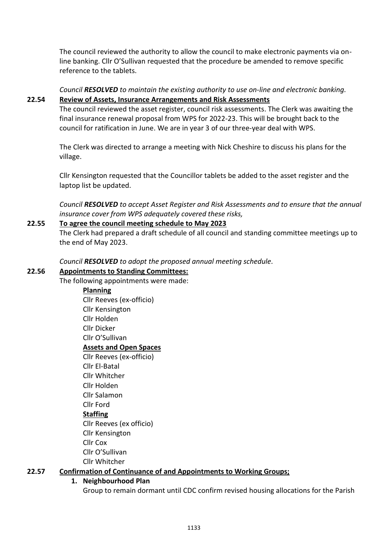The council reviewed the authority to allow the council to make electronic payments via online banking. Cllr O'Sullivan requested that the procedure be amended to remove specific reference to the tablets.

*Council RESOLVED to maintain the existing authority to use on-line and electronic banking.* **22.54 Review of Assets, Insurance Arrangements and Risk Assessments**

The council reviewed the asset register, council risk assessments. The Clerk was awaiting the final insurance renewal proposal from WPS for 2022-23. This will be brought back to the council for ratification in June. We are in year 3 of our three-year deal with WPS.

The Clerk was directed to arrange a meeting with Nick Cheshire to discuss his plans for the village.

Cllr Kensington requested that the Councillor tablets be added to the asset register and the laptop list be updated.

*Council RESOLVED to accept Asset Register and Risk Assessments and to ensure that the annual insurance cover from WPS adequately covered these risks,* 

## **22.55 To agree the council meeting schedule to May 2023**

The Clerk had prepared a draft schedule of all council and standing committee meetings up to the end of May 2023.

*Council RESOLVED to adopt the proposed annual meeting schedule.*

#### **22.56 Appointments to Standing Committees:**

The following appointments were made:

- **Planning** Cllr Reeves (ex-officio) Cllr Kensington Cllr Holden Cllr Dicker Cllr O'Sullivan **Assets and Open Spaces** Cllr Reeves (ex-officio) Cllr El-Batal Cllr Whitcher Cllr Holden Cllr Salamon Cllr Ford **Staffing** Cllr Reeves (ex officio) Cllr Kensington Cllr Cox Cllr O'Sullivan
- Cllr Whitcher

## **22.57 Confirmation of Continuance of and Appointments to Working Groups;**

#### **1. Neighbourhood Plan**

Group to remain dormant until CDC confirm revised housing allocations for the Parish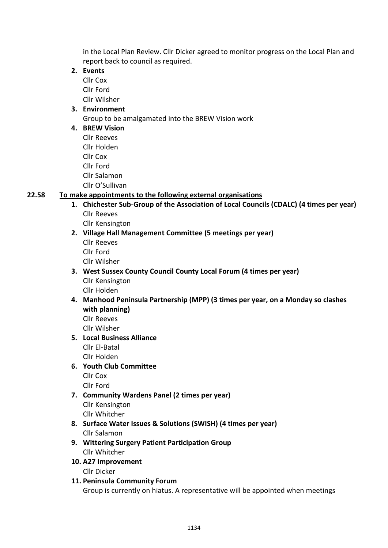in the Local Plan Review. Cllr Dicker agreed to monitor progress on the Local Plan and report back to council as required.

- **2. Events**
	- Cllr Cox Cllr Ford Cllr Wilsher

## **3. Environment**

Group to be amalgamated into the BREW Vision work

## **4. BREW Vision**

Cllr Reeves Cllr Holden Cllr Cox Cllr Ford Cllr Salamon Cllr O'Sullivan

## **22.58 To make appointments to the following external organisations**

- **1. Chichester Sub-Group of the Association of Local Councils (CDALC) (4 times per year)** Cllr Reeves
	- Cllr Kensington
- **2. Village Hall Management Committee (5 meetings per year)**
	- Cllr Reeves Cllr Ford
	- Cllr Wilsher
- **3. West Sussex County Council County Local Forum (4 times per year)** Cllr Kensington Cllr Holden
- **4. Manhood Peninsula Partnership (MPP) (3 times per year, on a Monday so clashes with planning)**

Cllr Reeves

Cllr Wilsher

**5. Local Business Alliance** Cllr El-Batal Cllr Holden

# **6. Youth Club Committee**

Cllr Cox

- Cllr Ford **7. Community Wardens Panel (2 times per year)** Cllr Kensington Cllr Whitcher
- **8. Surface Water Issues & Solutions (SWISH) (4 times per year)** Cllr Salamon
- **9. Wittering Surgery Patient Participation Group**  Cllr Whitcher
- **10. A27 Improvement** Cllr Dicker
- **11. Peninsula Community Forum** Group is currently on hiatus. A representative will be appointed when meetings